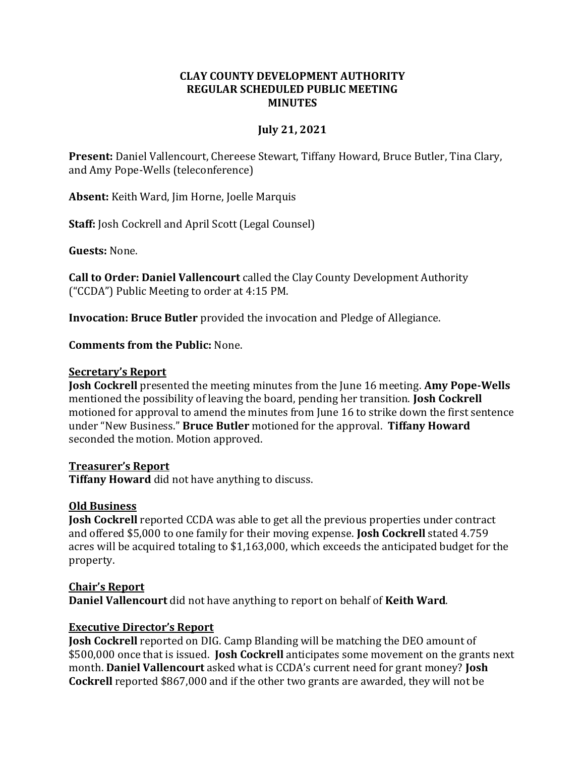#### **CLAY COUNTY DEVELOPMENT AUTHORITY REGULAR SCHEDULED PUBLIC MEETING MINUTES**

# **July 21, 2021**

**Present:** Daniel Vallencourt, Chereese Stewart, Tiffany Howard, Bruce Butler, Tina Clary, and Amy Pope-Wells (teleconference)

**Absent:** Keith Ward, Jim Horne, Joelle Marquis

**Staff:** Josh Cockrell and April Scott (Legal Counsel)

**Guests:** None.

**Call to Order: Daniel Vallencourt** called the Clay County Development Authority ("CCDA") Public Meeting to order at 4:15 PM.

**Invocation: Bruce Butler** provided the invocation and Pledge of Allegiance.

**Comments from the Public:** None.

#### **Secretary's Report**

**Josh Cockrell** presented the meeting minutes from the June 16 meeting. **Amy Pope-Wells**  mentioned the possibility of leaving the board, pending her transition. **Josh Cockrell** motioned for approval to amend the minutes from June 16 to strike down the first sentence under "New Business." **Bruce Butler** motioned for the approval. **Tiffany Howard**  seconded the motion. Motion approved.

#### **Treasurer's Report**

**Tiffany Howard** did not have anything to discuss.

## **Old Business**

**Josh Cockrell** reported CCDA was able to get all the previous properties under contract and offered \$5,000 to one family for their moving expense. **Josh Cockrell** stated 4.759 acres will be acquired totaling to \$1,163,000, which exceeds the anticipated budget for the property.

## **Chair's Report**

**Daniel Vallencourt** did not have anything to report on behalf of **Keith Ward**.

## **Executive Director's Report**

**Josh Cockrell** reported on DIG. Camp Blanding will be matching the DEO amount of \$500,000 once that is issued. **Josh Cockrell** anticipates some movement on the grants next month. **Daniel Vallencourt** asked what is CCDA's current need for grant money? **Josh Cockrell** reported \$867,000 and if the other two grants are awarded, they will not be